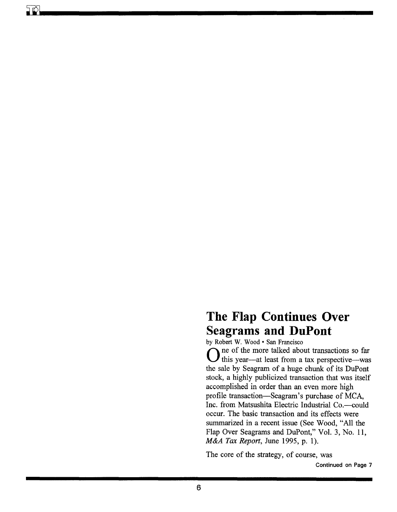## **The Flap Continues Over Seagrams and DuPont**

by Robert W. Wood • San Francisco

One of the more talked about transactions so far<br>this year—at least from a tax perspective—was the sale by Seagram of a huge chunk of its DuPont stock, a highly publicized transaction that was itself accomplished in order than an even more high profile transaction—Seagram's purchase of MCA, Inc. from Matsushita Electric Industrial Co.-could occur. The basic transaction and its effects were summarized in a recent issue (See Wood, "All the Flap Over Seagrams and DuPont," Vol. 3, No. 11, *M&A Tax Report,* June 1995, p. 1).

The core of the strategy, of course, was

Continued on Page 7